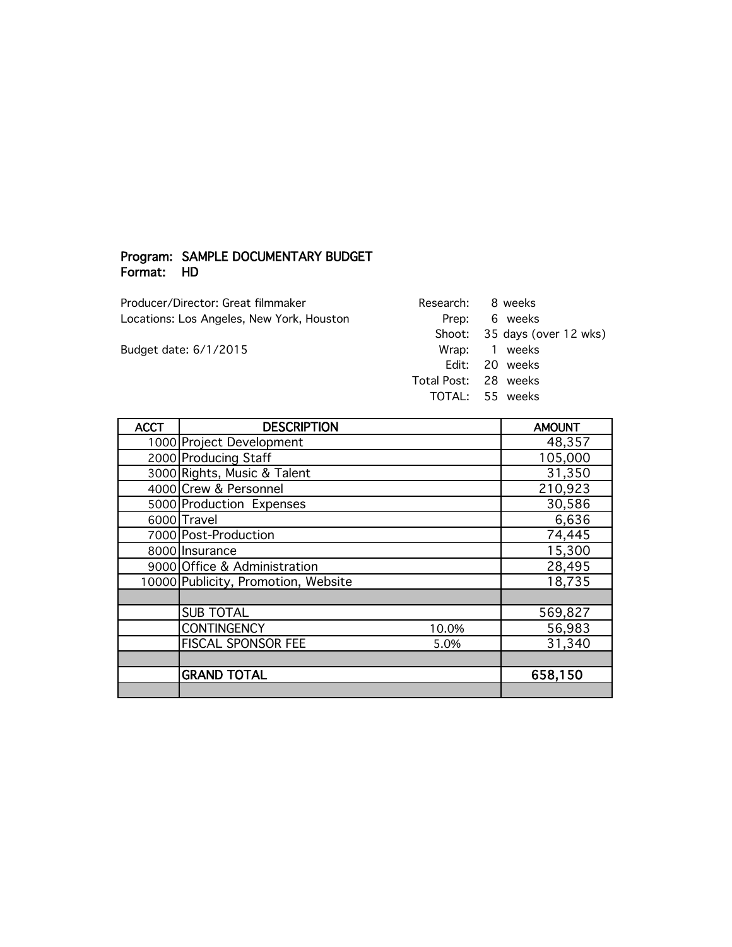## Program: SAMPLE DOCUMENTARY BUDGET Format: HD

Producer/Director: Great filmmaker Locations: Los Angeles, New York, Houston

Budget date: 6/1/2015

| Research:       | 8 weeks               |
|-----------------|-----------------------|
| Prep:           | 6 weeks               |
| Shoot:          | 35 days (over 12 wks) |
| Wrap: 1 weeks   |                       |
| Fdit: .         | - 20 weeks            |
| Total Post:     | - 28 weeks            |
| TOTAI: 55 weeks |                       |

| <b>ACCT</b> | <b>DESCRIPTION</b>                  | <b>AMOUNT</b> |
|-------------|-------------------------------------|---------------|
|             | 1000 Project Development            | 48,357        |
|             | 2000 Producing Staff                | 105,000       |
|             | 3000 Rights, Music & Talent         | 31,350        |
|             | 4000 Crew & Personnel               | 210,923       |
|             | 5000 Production Expenses            | 30,586        |
|             | 6000 Travel                         | 6,636         |
|             | 7000 Post-Production                | 74,445        |
|             | 8000 Insurance                      | 15,300        |
|             | 9000 Office & Administration        | 28,495        |
|             | 10000 Publicity, Promotion, Website | 18,735        |
|             |                                     |               |
|             | <b>SUB TOTAL</b>                    | 569,827       |
|             | <b>CONTINGENCY</b><br>10.0%         | 56,983        |
|             | FISCAL SPONSOR FEE<br>5.0%          | 31,340        |
|             |                                     |               |
|             | <b>GRAND TOTAL</b>                  | 658,150       |
|             |                                     |               |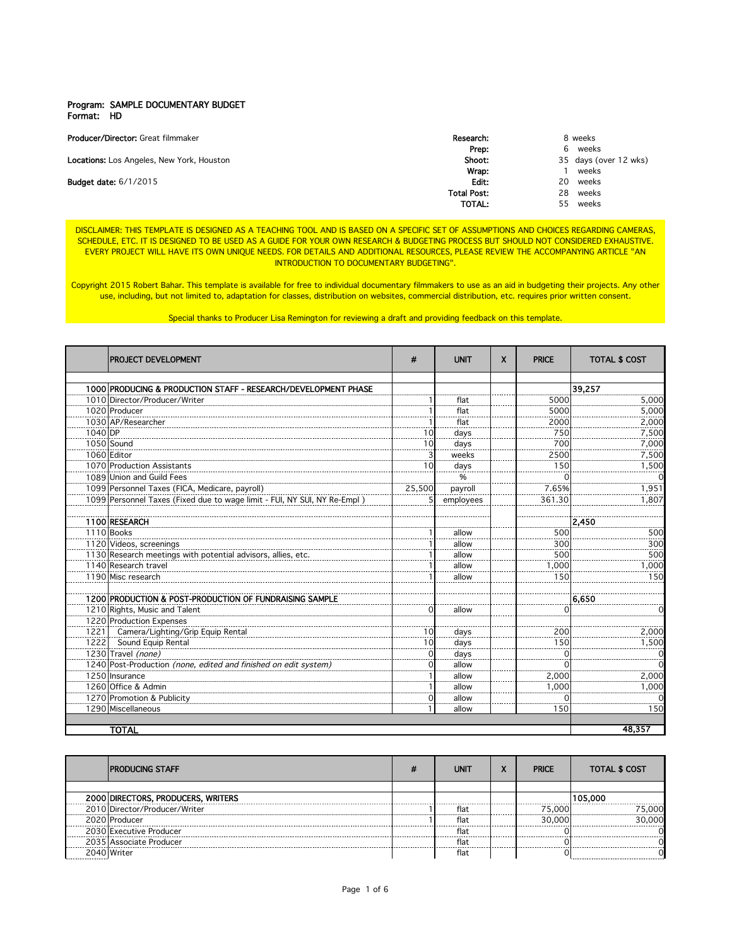## Program: SAMPLE DOCUMENTARY BUDGET Format: HD

| <b>Producer/Director:</b> Great filmmaker        | Research:          |     | 8 weeks               |
|--------------------------------------------------|--------------------|-----|-----------------------|
|                                                  | Prep:              | b   | weeks                 |
| <b>Locations:</b> Los Angeles, New York, Houston | Shoot:             |     | 35 days (over 12 wks) |
|                                                  | Wrap:              |     | weeks                 |
| <b>Budget date: 6/1/2015</b>                     | Edit:              | 20. | weeks                 |
|                                                  | <b>Total Post:</b> | 28  | weeks                 |
|                                                  | TOTAL:             | 55. | weeks                 |

DISCLAIMER: THIS TEMPLATE IS DESIGNED AS A TEACHING TOOL AND IS BASED ON A SPECIFIC SET OF ASSUMPTIONS AND CHOICES REGARDING CAMERAS, SCHEDULE, ETC. IT IS DESIGNED TO BE USED AS A GUIDE FOR YOUR OWN RESEARCH & BUDGETING PROCESS BUT SHOULD NOT CONSIDERED EXHAUSTIVE. EVERY PROJECT WILL HAVE ITS OWN UNIQUE NEEDS. FOR DETAILS AND ADDITIONAL RESOURCES, PLEASE REVIEW THE ACCOMPANYING ARTICLE "AN **INTRODUCTION TO DOCUMENTARY BUDGETING".** 

Copyright 2015 Robert Bahar. This template is available for free to individual documentary filmmakers to use as an aid in budgeting their projects. Any other use, including, but not limited to, adaptation for classes, distribution on websites, commercial distribution, etc. requires prior written consent.

Special thanks to Producer Lisa Remington for reviewing a draft and providing feedback on this template.

|         | PROJECT DEVELOPMENT                                                      | #               | <b>UNIT</b>   | X | <b>PRICE</b>    | <b>TOTAL \$ COST</b> |
|---------|--------------------------------------------------------------------------|-----------------|---------------|---|-----------------|----------------------|
|         |                                                                          |                 |               |   |                 |                      |
|         | 1000 PRODUCING & PRODUCTION STAFF - RESEARCH/DEVELOPMENT PHASE           |                 |               |   |                 | 39,257               |
|         | 1010 Director/Producer/Writer                                            |                 | flat          |   | 5000            | 5,000                |
|         | 1020 Producer                                                            |                 | flat          |   | 5000            | 5,000                |
|         | 1030 AP/Researcher                                                       |                 | flat          |   | 2000            | 2,000                |
| 1040 DP |                                                                          | 10              | days          |   | 750             | 7,500                |
|         | 1050 Sound                                                               | 10 <sub>l</sub> | days          |   | 700             | 7,000                |
|         | 1060 Editor                                                              |                 | weeks         |   | 2500            | 7,500                |
|         | 1070 Production Assistants                                               | 10              | days          |   | 150             | 1,500                |
|         | 1089 Union and Guild Fees                                                |                 | $\frac{0}{6}$ |   |                 |                      |
|         | 1099 Personnel Taxes (FICA, Medicare, payroll)                           | 25,500          | payroll       |   | 7.65%           | 1,951                |
|         | 1099 Personnel Taxes (Fixed due to wage limit - FUI, NY SUI, NY Re-Empl) |                 | employees     |   | 361.30          | 1,807                |
|         | 1100 RESEARCH                                                            |                 |               |   |                 | 2,450                |
|         | 1110 Books                                                               |                 | allow         |   | 500             | 500                  |
|         | 1120 Videos, screenings                                                  |                 | allow         |   | 30 <sub>C</sub> | 300                  |
|         | 1130 Research meetings with potential advisors, allies, etc.             |                 | allow         |   | 500             | 500                  |
|         | 1140 Research travel                                                     |                 | allow         |   | 1,000           | 1,000                |
|         | 1190 Misc research                                                       |                 | allow         |   | 150             | 150                  |
|         | 1200 PRODUCTION & POST-PRODUCTION OF FUNDRAISING SAMPLE                  |                 |               |   |                 | 6,650                |
|         | 1210 Rights, Music and Talent                                            | $\Omega$        | allow         |   |                 |                      |
|         | 1220 Production Expenses                                                 |                 |               |   |                 |                      |
| 1221    | Camera/Lighting/Grip Equip Rental                                        | 10              | days          |   | 200             | 2,000                |
| 1222    | Sound Equip Rental                                                       | 10              | days          |   | 150             | 1,500                |
|         | 1230 Travel (none)                                                       |                 | days          |   |                 |                      |
|         | 1240 Post-Production (none, edited and finished on edit system)          |                 | allow         |   |                 |                      |
|         | 1250 Insurance                                                           |                 | allow         |   | 2,000           | 2,000                |
|         | 1260 Office & Admin                                                      |                 | allow         |   | 1,000           | 1,000                |
|         | 1270 Promotion & Publicity                                               |                 | allow         |   |                 |                      |
|         | 1290 Miscellaneous                                                       |                 | allow         |   | 150             | 150                  |
|         |                                                                          |                 |               |   |                 |                      |
|         | <b>TOTAL</b>                                                             |                 |               |   |                 | 48.357               |

| <b>IPRODUCING STAFF</b>            | UNIT | - | <b>PRICE</b> | <b>TOTAL \$ COST</b> |
|------------------------------------|------|---|--------------|----------------------|
|                                    |      |   |              |                      |
| 2000 DIRECTORS, PRODUCERS, WRITERS |      |   |              | 105.000              |
| 2010 Director/Producer/Writer      | flat |   | 75 NNN       | റററ                  |
| 2020 Producer                      | flat |   | ገበር          |                      |
| 2030 Executive Producer            | flat |   |              |                      |
| 2035 Associate Producer            | fla  |   |              |                      |
| ≀∩4∩ Writei                        | flat |   |              |                      |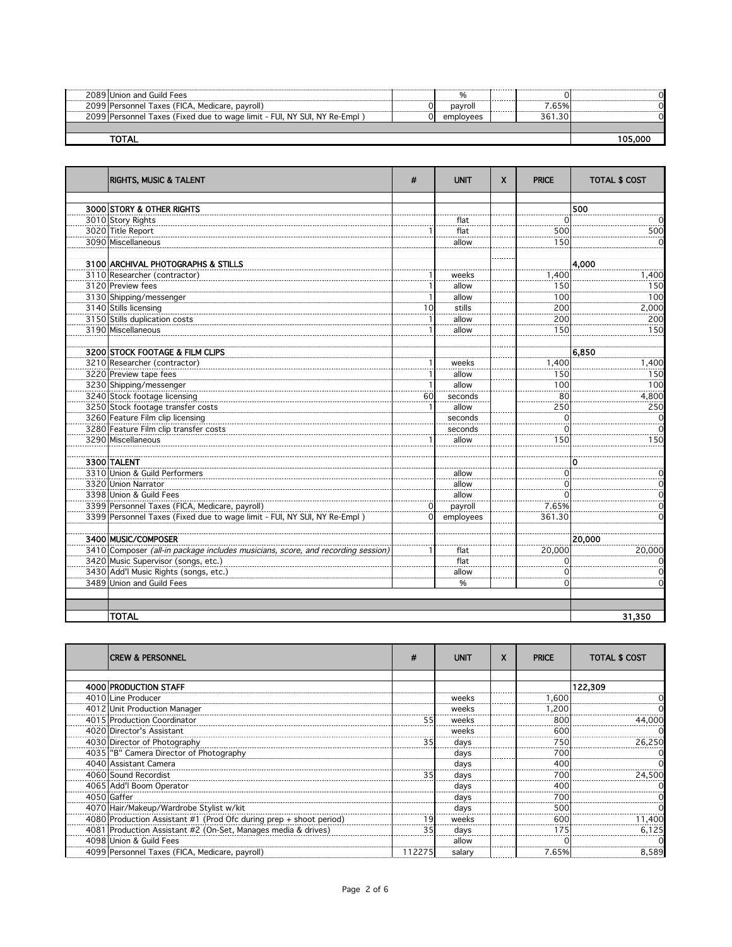| ------------------ | 2089 Union and Guild Fees                                               |           |   |    |  |
|--------------------|-------------------------------------------------------------------------|-----------|---|----|--|
|                    | 2099 Personnel Taxes (FICA, Medicare, payroll)                          | pavroll   | . | 5% |  |
|                    | 2099 Personnel Taxes (Fixed due to wage limit - FUI, NY SUI, NY Re-Empl | emplovees |   |    |  |
|                    |                                                                         |           |   |    |  |
|                    |                                                                         |           |   |    |  |

| <b>RIGHTS, MUSIC &amp; TALENT</b>                                               | #            | <b>UNIT</b>  | X | <b>PRICE</b> | <b>TOTAL \$ COST</b>  |
|---------------------------------------------------------------------------------|--------------|--------------|---|--------------|-----------------------|
|                                                                                 |              |              |   |              |                       |
| 3000 STORY & OTHER RIGHTS                                                       |              |              |   |              | 500<br>$\Omega$       |
| 3010 Story Rights                                                               |              | flat<br>flat |   |              |                       |
| 3020 Title Report<br>3090 Miscellaneous                                         |              | allow        |   | 500<br>150   | 500<br>$\overline{0}$ |
|                                                                                 |              |              |   |              |                       |
| 3100 ARCHIVAL PHOTOGRAPHS & STILLS                                              |              |              |   |              | 4,000                 |
| 3110 Researcher (contractor)                                                    |              | weeks        |   | 1,400        | 1,400                 |
| 3120 Preview fees                                                               |              | allow        |   | 150          | 150                   |
| 3130 Shipping/messenger                                                         | $\mathbf{1}$ | allow        |   | 100          | 100                   |
| 3140 Stills licensing                                                           | 10           | stills       |   | 200          | 2,000                 |
| 3150 Stills duplication costs                                                   |              | allow        |   | 200          | 200                   |
| 3190 Miscellaneous                                                              |              | allow        |   | 150          | 150                   |
|                                                                                 |              |              |   |              |                       |
| 3200 STOCK FOOTAGE & FILM CLIPS                                                 |              |              |   |              | 6,850                 |
| 3210 Researcher (contractor)                                                    | 1            | weeks        |   | 1,400        | 1,400                 |
| 3220 Preview tape fees                                                          |              | allow        |   | 150          | 150                   |
| 3230 Shipping/messenger                                                         |              | allow        |   | 100          | 100                   |
| 3240 Stock footage licensing                                                    | 60           | seconds      |   | 80           | 4,800                 |
| 3250 Stock footage transfer costs                                               | 1            | allow        |   | 250          | 250                   |
| 3260 Feature Film clip licensing                                                |              | seconds      |   |              | $\Omega$              |
| 3280 Feature Film clip transfer costs                                           |              | seconds      |   |              | $\Omega$              |
| 3290 Miscellaneous                                                              |              | allow        |   | 150          | 150                   |
|                                                                                 |              |              |   |              |                       |
| 3300 TALENT                                                                     |              |              |   |              | 0                     |
| 3310 Union & Guild Performers                                                   |              | allow        |   | $\Omega$     | $\Omega$              |
| 3320 Union Narrator                                                             |              | allow        |   |              | $\Omega$              |
| 3398 Union & Guild Fees                                                         |              | allow        |   |              | $\Omega$              |
| 3399 Personnel Taxes (FICA, Medicare, payroll)                                  | $\Omega$     | payroll      |   | 7.65%        | $\mathbf 0$           |
| 3399 Personnel Taxes (Fixed due to wage limit - FUI, NY SUI, NY Re-Empl)        | $\Omega$     | employees    |   | 361.30       | $\Omega$              |
|                                                                                 |              |              |   |              |                       |
| 3400 MUSIC/COMPOSER                                                             |              |              |   |              | 20,000                |
| 3410 Composer (all-in package includes musicians, score, and recording session, |              | flat         |   | 20,000       | 20,000                |
| 3420 Music Supervisor (songs, etc.)                                             |              | flat         |   |              | $\Omega$              |
| 3430 Add'l Music Rights (songs, etc.)                                           |              | allow        |   |              | $\mathbf 0$           |
| 3489 Union and Guild Fees                                                       |              | %            |   | $\Omega$     | $\Omega$              |
|                                                                                 |              |              |   |              |                       |
|                                                                                 |              |              |   |              |                       |
| <b>TOTAL</b>                                                                    |              |              |   |              | 31,350                |

| <b>CREW &amp; PERSONNEL</b>                                        | #      | <b>UNIT</b> | X | <b>PRICE</b> | <b>TOTAL \$ COST</b> |
|--------------------------------------------------------------------|--------|-------------|---|--------------|----------------------|
|                                                                    |        |             |   |              |                      |
| 4000 PRODUCTION STAFF                                              |        |             |   |              | 122,309              |
| 4010 Line Producer                                                 |        | weeks       |   | 600. ا       |                      |
| 4012 Unit Production Manager                                       |        | weeks       |   | .200         |                      |
| 4015 Production Coordinator                                        |        | weeks       |   | 800          | 44.000               |
| 4020 Director's Assistant                                          |        | weeks       |   | 600          |                      |
| 4030 Director of Photography                                       |        | days        |   | 750          | 26.250               |
| 4035   "B" Camera Director of Photography                          |        | davs        |   | 700          |                      |
| 4040 Assistant Camera                                              |        | davs        |   | 400          |                      |
| 4060 Sound Recordist                                               |        | days        |   | 700          | 24.500               |
| 4065 Add'l Boom Operator                                           |        | days        |   | 400          |                      |
| 4050 Gaffer                                                        |        | days        |   | 700          |                      |
| 4070 Hair/Makeup/Wardrobe Stylist w/kit                            |        | days        |   | 50C          |                      |
| 4080 Production Assistant #1 (Prod Ofc during prep + shoot period) |        | weeks       |   | 60C          | 400, ا               |
| 4081 Production Assistant #2 (On-Set, Manages media & drives)      |        | davs        |   |              | 6,125                |
| 4098 Union & Guild Fees                                            |        | allow       |   |              |                      |
| 4099 Personnel Taxes (FICA, Medicare, payroll)                     | 112275 | salary      |   | 7.65%        | 8.589                |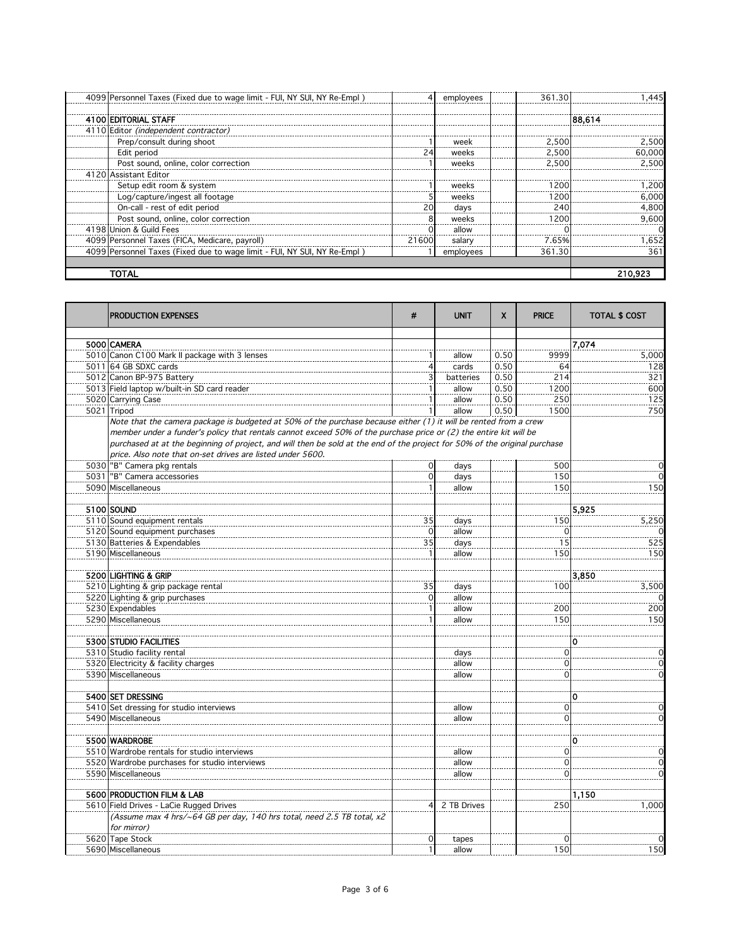| 4099   Personnel Taxes (Fixed due to wage limit - FUI, NY SUI, NY Re-Empl) |       | employees | 361.30 | .445. ` |
|----------------------------------------------------------------------------|-------|-----------|--------|---------|
| 4100 EDITORIAL STAFF                                                       |       |           |        | 88,614  |
| 4110 Editor (independent contractor)                                       |       |           |        |         |
| Prep/consult during shoot                                                  |       | week      | 2,500  | 2.500   |
| Edit period                                                                |       | weeks     | 2.500  | 60.000  |
| Post sound, online, color correction                                       |       | weeks     | 2.500  | 2.500   |
| 4120 Assistant Editor                                                      |       |           |        |         |
| Setup edit room & system                                                   |       | weeks     | 1200   | .200    |
| Log/capture/ingest all footage                                             |       | weeks     | 12001  | 6,000   |
| On-call - rest of edit period                                              |       | days      | 240    | 4,800   |
| Post sound, online, color correction                                       |       | weeks     | 1200   | 9.600   |
| 4198 Union & Guild Fees                                                    |       | allow     |        |         |
| 4099 Personnel Taxes (FICA, Medicare, payroll)                             | 21600 | salary    | 7.65%  | .652    |
| 4099   Personnel Taxes (Fixed due to wage limit - FUI, NY SUI, NY Re-Empl) |       | employees | 361.30 | 361     |
|                                                                            |       |           |        |         |
| TOTAL                                                                      |       |           |        | 210.92: |

| PRODUCTION EXPENSES                                                                                                                                                                                                                                                                                                                                                                                                               | #               | <b>UNIT</b> | X    | <b>PRICE</b>  | <b>TOTAL \$ COST</b> |
|-----------------------------------------------------------------------------------------------------------------------------------------------------------------------------------------------------------------------------------------------------------------------------------------------------------------------------------------------------------------------------------------------------------------------------------|-----------------|-------------|------|---------------|----------------------|
|                                                                                                                                                                                                                                                                                                                                                                                                                                   |                 |             |      |               |                      |
| 5000 CAMERA                                                                                                                                                                                                                                                                                                                                                                                                                       |                 |             |      |               | 7,074                |
| 5010 Canon C100 Mark II package with 3 lenses                                                                                                                                                                                                                                                                                                                                                                                     | 1               | allow       | 0.50 | 9999          | 5,000                |
| 5011 64 GB SDXC cards                                                                                                                                                                                                                                                                                                                                                                                                             | 4               | cards       | 0.50 | 64            | 128                  |
| 5012 Canon BP-975 Battery                                                                                                                                                                                                                                                                                                                                                                                                         |                 | batteries   | 0.50 | 214           | 321                  |
| 5013 Field laptop w/built-in SD card reader                                                                                                                                                                                                                                                                                                                                                                                       |                 | allow       | 0.50 | 1200          | 600                  |
| 5020 Carrying Case                                                                                                                                                                                                                                                                                                                                                                                                                |                 | allow       | 0.50 | 250           | 125                  |
| 5021 Tripod                                                                                                                                                                                                                                                                                                                                                                                                                       |                 | allow       | 0.50 | 1500          | 750                  |
| Note that the camera package is budgeted at 50% of the purchase because either (1) it will be rented from a crew<br>member under a funder's policy that rentals cannot exceed 50% of the purchase price or (2) the entire kit will be<br>purchased at at the beginning of project, and will then be sold at the end of the project for 50% of the original purchase<br>price. Also note that on-set drives are listed under 5600. |                 |             |      |               |                      |
| 5030 "B" Camera pkg rentals                                                                                                                                                                                                                                                                                                                                                                                                       | $\mathbf 0$     | days        |      | 500           | 0                    |
| 5031   "B" Camera accessories                                                                                                                                                                                                                                                                                                                                                                                                     | $\mathbf{O}$    | days        |      | 150           | $\Omega$             |
| 5090 Miscellaneous                                                                                                                                                                                                                                                                                                                                                                                                                |                 | allow       |      | 150           | 150                  |
|                                                                                                                                                                                                                                                                                                                                                                                                                                   |                 |             |      |               |                      |
| 5100 SOUND                                                                                                                                                                                                                                                                                                                                                                                                                        |                 |             |      |               | 5,925                |
| 5110 Sound equipment rentals                                                                                                                                                                                                                                                                                                                                                                                                      | 35              | days        |      | 150           | 5,250                |
| 5120 Sound equipment purchases                                                                                                                                                                                                                                                                                                                                                                                                    | $\Omega$        | allow       |      | $\Omega$      | $\Omega$             |
| 5130 Batteries & Expendables                                                                                                                                                                                                                                                                                                                                                                                                      | $\overline{35}$ | days        |      | 15            | 525                  |
| 5190 Miscellaneous                                                                                                                                                                                                                                                                                                                                                                                                                |                 | allow       |      | 150           | 150                  |
|                                                                                                                                                                                                                                                                                                                                                                                                                                   |                 |             |      |               |                      |
| 5200 LIGHTING & GRIP                                                                                                                                                                                                                                                                                                                                                                                                              |                 |             |      |               | 3,850                |
| 5210 Lighting & grip package rental                                                                                                                                                                                                                                                                                                                                                                                               | $35\,$          | days        |      | 100           | 3,500                |
| 5220 Lighting & grip purchases                                                                                                                                                                                                                                                                                                                                                                                                    | $\mathbf{O}$    | allow       |      |               |                      |
| 5230 Expendables                                                                                                                                                                                                                                                                                                                                                                                                                  |                 | allow       |      | 200           | 200                  |
| 5290 Miscellaneous                                                                                                                                                                                                                                                                                                                                                                                                                |                 | allow       |      | 150           | 150                  |
| 5300 STUDIO FACILITIES                                                                                                                                                                                                                                                                                                                                                                                                            |                 |             |      |               | 0                    |
|                                                                                                                                                                                                                                                                                                                                                                                                                                   |                 |             |      | $\Omega$      | $\mathbf 0$          |
| 5310 Studio facility rental                                                                                                                                                                                                                                                                                                                                                                                                       |                 | days        |      |               |                      |
| 5320 Electricity & facility charges                                                                                                                                                                                                                                                                                                                                                                                               |                 | allow       |      | $\mathcal{L}$ | 0<br>$\mathbf 0$     |
| 5390 Miscellaneous                                                                                                                                                                                                                                                                                                                                                                                                                |                 | allow       |      | 0             |                      |
| 5400 SET DRESSING                                                                                                                                                                                                                                                                                                                                                                                                                 |                 |             |      |               | 0                    |
| 5410 Set dressing for studio interviews                                                                                                                                                                                                                                                                                                                                                                                           |                 | allow       |      | $\Omega$      | $\mathbf 0$          |
| 5490 Miscellaneous                                                                                                                                                                                                                                                                                                                                                                                                                |                 | allow       |      | $\Omega$      | $\Omega$             |
|                                                                                                                                                                                                                                                                                                                                                                                                                                   |                 |             |      |               |                      |
| 5500 WARDROBE                                                                                                                                                                                                                                                                                                                                                                                                                     |                 |             |      |               | 0                    |
| 5510 Wardrobe rentals for studio interviews                                                                                                                                                                                                                                                                                                                                                                                       |                 | allow       |      | $\mathbf 0$   | $\overline{0}$       |
| 5520 Wardrobe purchases for studio interviews                                                                                                                                                                                                                                                                                                                                                                                     |                 | allow       |      | $\Omega$      | $\overline{0}$       |
| 5590 Miscellaneous                                                                                                                                                                                                                                                                                                                                                                                                                |                 | allow       |      | 0             | $\Omega$             |
|                                                                                                                                                                                                                                                                                                                                                                                                                                   |                 |             |      |               |                      |
| 5600 PRODUCTION FILM & LAB                                                                                                                                                                                                                                                                                                                                                                                                        |                 |             |      |               | 1,150                |
| 5610 Field Drives - LaCie Rugged Drives                                                                                                                                                                                                                                                                                                                                                                                           | 4               | 2 TB Drives |      | 250           | 1,000                |
| (Assume max 4 hrs/~64 GB per day, 140 hrs total, need 2.5 TB total, x2                                                                                                                                                                                                                                                                                                                                                            |                 |             |      |               |                      |
| for mirror)                                                                                                                                                                                                                                                                                                                                                                                                                       |                 |             |      |               |                      |
| 5620 Tape Stock                                                                                                                                                                                                                                                                                                                                                                                                                   | 0               | tapes       |      | 0             | $\Omega$             |
| 5690 Miscellaneous                                                                                                                                                                                                                                                                                                                                                                                                                | $\mathbf{1}$    | allow       |      | 150           | 150                  |
|                                                                                                                                                                                                                                                                                                                                                                                                                                   |                 |             |      |               |                      |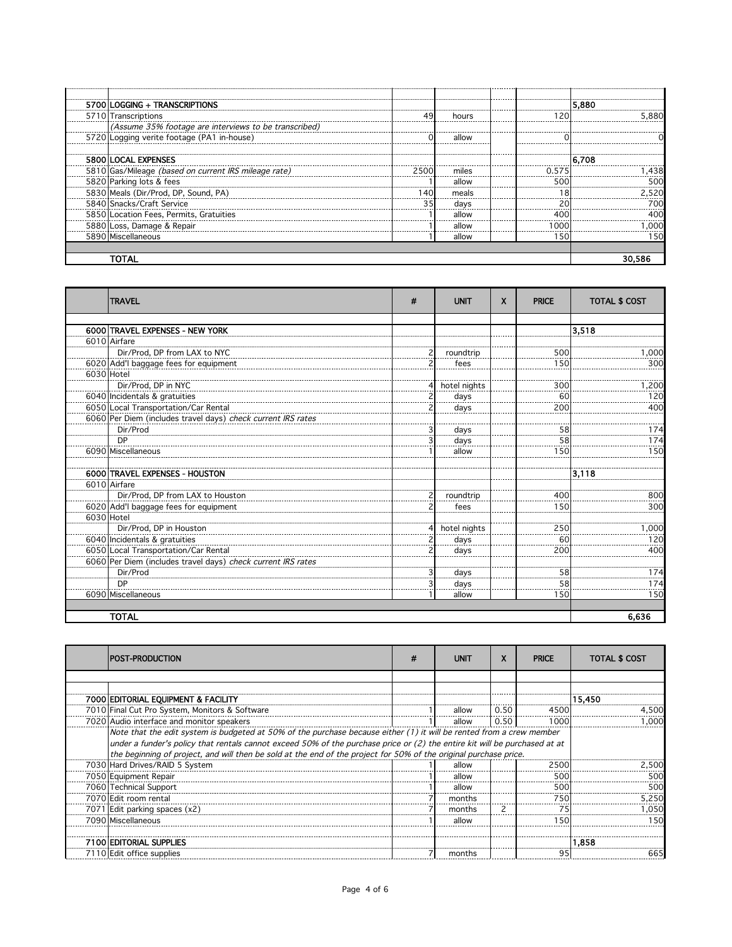| 5700 LOGGING + TRANSCRIPTIONS                         |       |       |     | 5.880  |
|-------------------------------------------------------|-------|-------|-----|--------|
| 5710 Transcriptions                                   |       | hours |     | 5.880  |
| (Assume 35% footage are interviews to be transcribed) |       |       |     |        |
| 5720 Logging verite footage (PA1 in-house)            |       | allow |     |        |
|                                                       |       |       |     |        |
| 5800 LOCAL EXPENSES                                   |       |       |     | 16.708 |
| 5810 Gas/Mileage (based on current IRS mileage rate)  | 25001 | miles |     |        |
| 5820 Parking lots & fees                              |       | allow | 500 |        |
| 5830 Meals (Dir/Prod, DP, Sound, PA)                  |       | meals |     | 2.520  |
| 5840 Snacks/Craft Service                             |       | davs  |     | 700    |
| 5850 Location Fees, Permits, Gratuities               |       | allow |     |        |
| 5880 Loss, Damage & Repair                            |       | allow | റററ | .000   |
| 5890 Miscellaneous                                    |       | allow | 150 | 150    |
|                                                       |       |       |     |        |
|                                                       |       |       |     |        |

|            | <b>TRAVEL</b>                                                | # | <b>UNIT</b>  | X | <b>PRICE</b> | <b>TOTAL \$ COST</b> |
|------------|--------------------------------------------------------------|---|--------------|---|--------------|----------------------|
|            |                                                              |   |              |   |              |                      |
|            | 6000 TRAVEL EXPENSES - NEW YORK                              |   |              |   |              | 3.518                |
|            | 6010 Airfare                                                 |   |              |   |              |                      |
|            | Dir/Prod, DP from LAX to NYC                                 |   | roundtrip    |   | 500          | 1,000                |
|            | 6020 Add'l baggage fees for equipment                        |   | fees         |   | 150          | 300                  |
| 6030 Hotel |                                                              |   |              |   |              |                      |
|            | Dir/Prod, DP in NYC                                          |   | hotel nights |   | 300          | 1,200                |
|            | 6040 Incidentals & gratuities                                |   | days         |   | 60           | 120                  |
|            | 6050 Local Transportation/Car Rental                         |   | days         |   | 200          | 400                  |
|            | 6060 Per Diem (includes travel days) check current IRS rates |   |              |   |              |                      |
|            | Dir/Prod                                                     |   | days         |   | 58           | 174                  |
|            | DP                                                           |   | days         |   | 58           | 174                  |
|            | 6090 Miscellaneous                                           |   | allow        |   | 150          | 150                  |
|            |                                                              |   |              |   |              |                      |
|            | 6000 TRAVEL EXPENSES - HOUSTON                               |   |              |   |              | 3,118                |
|            | 6010 Airfare                                                 |   |              |   |              |                      |
|            | Dir/Prod, DP from LAX to Houston                             |   | roundtrip    |   | 400          | 800                  |
|            | 6020 Add'l baggage fees for equipment                        |   | fees         |   | 150          | 300                  |
| 6030 Hotel |                                                              |   |              |   |              |                      |
|            | Dir/Prod, DP in Houston                                      |   | hotel nights |   | 250          | 1,000                |
|            | 6040 Incidentals & gratuities                                |   | days         |   | 60           | 120                  |
|            | 6050 Local Transportation/Car Rental                         |   | days         |   | 200          | 400                  |
|            | 6060 Per Diem (includes travel days) check current IRS rates |   |              |   |              |                      |
|            | Dir/Prod                                                     |   | days         |   | 58           | 174                  |
|            | <b>DP</b>                                                    |   | davs         |   | 58           | 174                  |
|            | 6090 Miscellaneous                                           |   | allow        |   | 150          | 150                  |
|            |                                                              |   |              |   |              |                      |
|            | <b>TOTAL</b>                                                 |   |              |   |              | 6,636                |

| IPOST-PRODUCTION                                                                                                           | n | <b>UNIT</b> | X    | <b>PRICE</b> | <b>TOTAL \$ COST</b> |
|----------------------------------------------------------------------------------------------------------------------------|---|-------------|------|--------------|----------------------|
|                                                                                                                            |   |             |      |              |                      |
|                                                                                                                            |   |             |      |              |                      |
| 7000 EDITORIAL EQUIPMENT & FACILITY                                                                                        |   |             |      |              | 15.450               |
| 7010 Final Cut Pro System, Monitors & Software                                                                             |   | allow       | 0.50 | 4500         | 4.500                |
| 7020 Audio interface and monitor speakers                                                                                  |   | allow       | 0.50 | 1000         | . റററ                |
| Note that the edit system is budgeted at 50% of the purchase because either (1) it will be rented from a crew member       |   |             |      |              |                      |
| under a funder's policy that rentals cannot exceed 50% of the purchase price or (2) the entire kit will be purchased at at |   |             |      |              |                      |
| the beginning of project, and will then be sold at the end of the project for 50% of the original purchase price.          |   |             |      |              |                      |
| 7030 Hard Drives/RAID 5 System                                                                                             |   | allow       |      | 2500         | 2,500                |
| 7050 Equipment Repair                                                                                                      |   | allow       |      | 500          | 500                  |
| 7060 Technical Support                                                                                                     |   | allow       |      | 50           | 500                  |
| 7070 Edit room rental                                                                                                      |   | months      |      | 750          | 5.250                |
| 7071 Edit parking spaces (x2)                                                                                              |   | months      |      |              | .050                 |
| 7090 Miscellaneous                                                                                                         |   | allow       |      | 1 5 C        | 150                  |
|                                                                                                                            |   |             |      |              |                      |
| 7100 EDITORIAL SUPPLIES                                                                                                    |   |             |      |              | 1.858                |
| 7110 Edit office supplies                                                                                                  |   | months      |      |              |                      |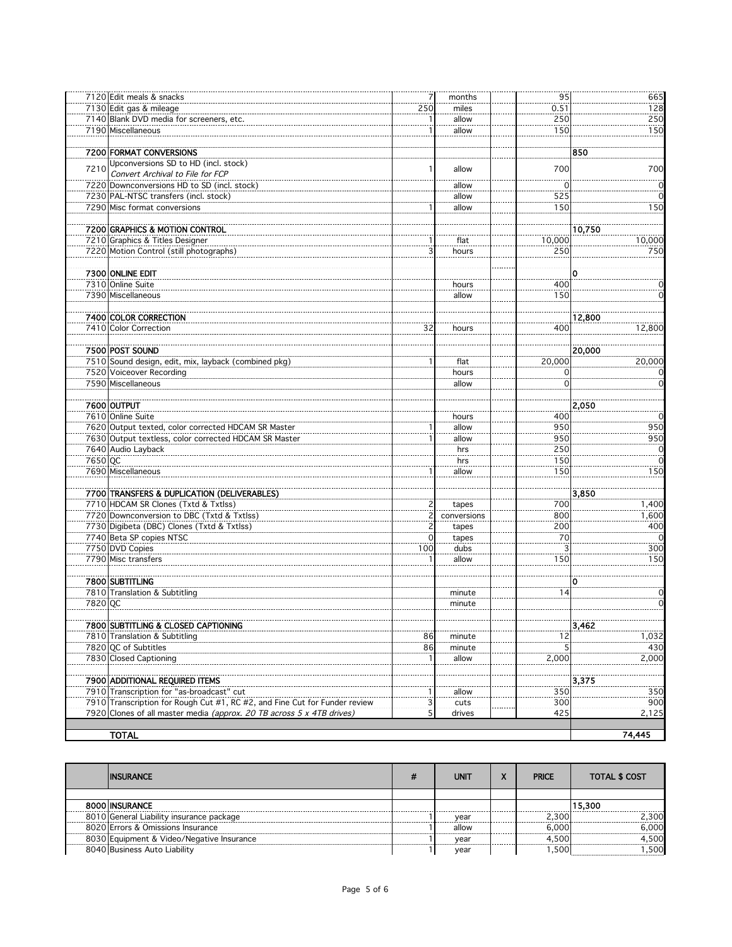|         | 7120 Edit meals & snacks                                                   | 7           |             | 95       | 665    |
|---------|----------------------------------------------------------------------------|-------------|-------------|----------|--------|
|         |                                                                            |             | months      |          |        |
|         | 7130 Edit gas & mileage                                                    | 250         | miles       | 0.51     | 128    |
|         | 7140 Blank DVD media for screeners, etc.                                   |             | allow       | 250      | 250    |
|         | 7190 Miscellaneous                                                         |             | allow       | 150      | 150    |
|         |                                                                            |             |             |          |        |
|         | <b>7200 FORMAT CONVERSIONS</b>                                             |             |             |          | 850    |
|         | Upconversions SD to HD (incl. stock)                                       |             |             |          |        |
| 7210    | Convert Archival to File for FCP                                           |             | allow       | 700      | 700    |
|         | 7220 Downconversions HD to SD (incl. stock)                                |             | allow       | 0        | 0      |
|         |                                                                            |             |             |          |        |
|         | 7230 PAL-NTSC transfers (incl. stock)                                      |             | allow       | 525      |        |
|         | 7290 Misc format conversions                                               |             | allow       | 150      | 150    |
|         |                                                                            |             |             |          |        |
|         | 7200 GRAPHICS & MOTION CONTROL                                             |             |             |          | 10,750 |
|         | 7210 Graphics & Titles Designer                                            |             | flat        | 10,000   | 10,000 |
|         | 7220 Motion Control (still photographs)                                    |             | hours       | 250      | 750    |
|         |                                                                            |             |             |          |        |
|         | 7300 ONLINE EDIT                                                           |             |             |          | 0      |
|         | 7310 Online Suite                                                          |             |             | 400      |        |
|         |                                                                            |             | hours       |          |        |
|         | 7390 Miscellaneous                                                         |             | allow       | 150      |        |
|         |                                                                            |             |             |          |        |
|         | 7400 COLOR CORRECTION                                                      |             |             |          | 12,800 |
|         | 7410 Color Correction                                                      | 32          | hours       | 400      | 12,800 |
|         |                                                                            |             |             |          |        |
|         | 7500 POST SOUND                                                            |             |             |          | 20,000 |
|         | 7510 Sound design, edit, mix, layback (combined pkg)                       |             | flat        | 20,000   | 20,000 |
|         | 7520 Voiceover Recording                                                   |             | hours       | 0        |        |
|         | 7590 Miscellaneous                                                         |             | allow       | $\Omega$ |        |
|         |                                                                            |             |             |          |        |
|         |                                                                            |             |             |          |        |
|         | 7600 OUTPUT                                                                |             |             |          | 2,050  |
|         | 7610 Online Suite                                                          |             | hours       | 400      |        |
|         | 7620 Output texted, color corrected HDCAM SR Master                        |             | allow       | 950      | 950    |
|         | 7630 Output textless, color corrected HDCAM SR Master                      |             | allow       | 950      | 950    |
|         | 7640 Audio Layback                                                         |             | hrs         | 250      | 0      |
| 7650 QC |                                                                            |             | hrs         | 150      |        |
|         | 7690 Miscellaneous                                                         |             | allow       | 150      | 150    |
|         |                                                                            |             |             |          |        |
|         | 7700 TRANSFERS & DUPLICATION (DELIVERABLES)                                |             |             |          |        |
|         |                                                                            |             |             |          | 3,850  |
|         | 7710 HDCAM SR Clones (Txtd & Txtlss)                                       |             | tapes       | 700      | 1,400  |
|         | 7720 Downconversion to DBC (Txtd & Txtlss)                                 |             | conversions | 800      | 1,600  |
|         | 7730 Digibeta (DBC) Clones (Txtd & Txtlss)                                 |             | tapes       | 200      | 400    |
|         | 7740 Beta SP copies NTSC                                                   | $\mathbf 0$ | tapes       | 70       |        |
|         | 7750 DVD Copies                                                            | 100         | dubs        |          | 300    |
|         | 7790 Misc transfers                                                        |             | allow       | 15C      | 150    |
|         |                                                                            |             |             |          |        |
|         | 7800 SUBTITLING                                                            |             |             |          | ი      |
|         | 7810 Translation & Subtitling                                              |             | minute      | 14       | 0      |
| 7820 QC |                                                                            |             |             |          |        |
|         |                                                                            |             | minute      |          |        |
|         |                                                                            |             |             |          |        |
|         | 7800 SUBTITLING & CLOSED CAPTIONING                                        |             |             |          | 3.462  |
|         | 7810 Translation & Subtitling                                              | 86          | minute      | 12       | 1,032  |
|         | 7820 QC of Subtitles                                                       | 86          | minute      |          | 430    |
|         | 7830 Closed Captioning                                                     |             | allow       | 2,000    | 2,000  |
|         |                                                                            |             |             |          |        |
|         | 7900 ADDITIONAL REQUIRED ITEMS                                             |             |             |          | 3,375  |
|         | 7910 Transcription for "as-broadcast" cut                                  |             | allow       | 350      | 350    |
|         | 7910 Transcription for Rough Cut #1, RC #2, and Fine Cut for Funder review | 3           | cuts        | 300      | 900    |
|         | 7920 Clones of all master media (approx. 20 TB across 5 x 4TB drives)      | 5           | drives      | 425      | 2,125  |
|         |                                                                            |             |             |          |        |
|         |                                                                            |             |             |          |        |
|         | <b>TOTAL</b>                                                               |             |             |          | 74,445 |

| <b>INSURANCE</b>                          | <b>UNIT</b> | A | <b>PRICE</b> | <b>TOTAL \$ COST</b> |
|-------------------------------------------|-------------|---|--------------|----------------------|
|                                           |             |   |              |                      |
| 8000 INSURANCE                            |             |   |              | 15.300               |
| 8010 General Liability insurance package  | vear        |   | ่ 3001       | 2.300                |
| 8020 Errors & Omissions Insurance         | allow       |   | 6.0001       | 6.000                |
| 8030 Equipment & Video/Negative Insurance | vear        |   | 4500         | 500                  |
| 8040 Business Auto Liability              | vear        |   | .500         | 500                  |